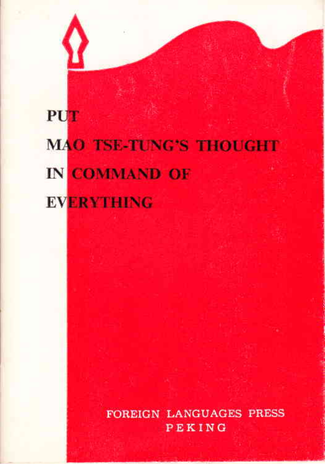# **PUT MAO TSE-TUNG'S THOUGHT** IN COMMAND OF **EVERYTHING**

**FOREIGN LANGUAGES PRESS** PEKING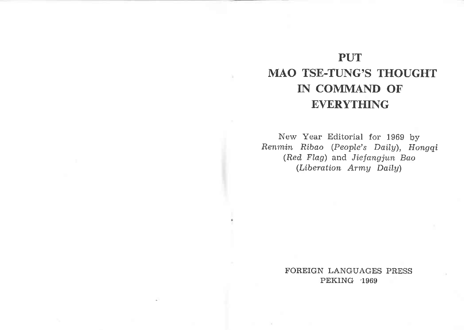### PUT MAO TSE-TUNG'S THOUGHT IN COMMAND OF **EVERYTHING**

New Year Editorial for 1969 by Renmin Ribao (People's Dailg), Hongqi (Red Flag) and Jiefangjun Bao (Liberation Army Daily)

> FOREIGN LANGUAGES PRESS PEKING 1969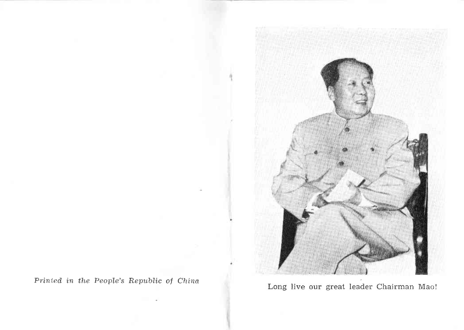

Long live our great leader Chairman Mao!

Printed in the People's Republic of China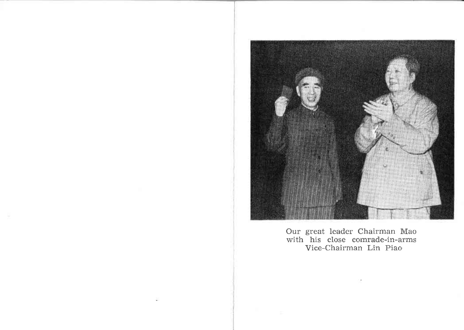

Our great leader Chairman Mac with his close comrade-in-arms Vice-Chairman Lin Piao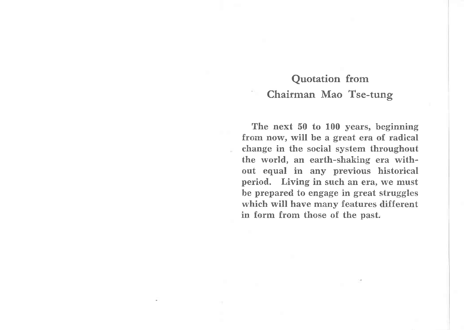The next 50 to 100 years, beginning from now, will be a great era of radical change in the social system throughout the world, an earth-shaking era without equal in any previous historical period. Living in such an era, we must be prepared to engage in great struggles which will have many features different in form from those of the past.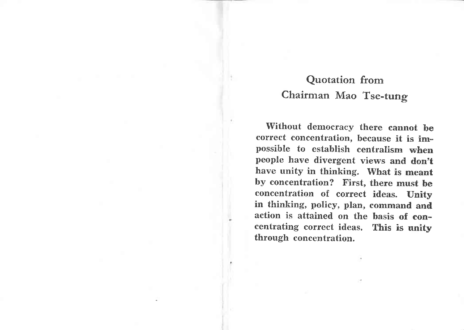Without democracy there cannot be correct concentration, because it is impossible to establish centralism when people have divergent views and don't have unity in thinking. What is meant by concentration? First, there must be concentration of correct ideas. Unity in thinking, policy, plan, command and action is attained on the basis of eoncentrating correct ideas. This is unity through concentration.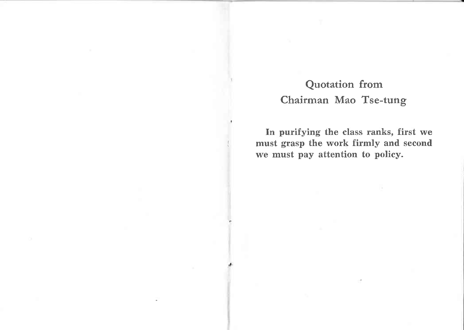In purifying the class ranks, first we must grasp the work firmly and second we must pay attention to policy.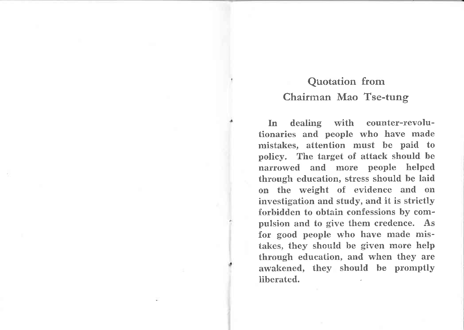In dealing with counter-revolutionaries and people who have made mistakes, attention must be paid to policy. The target of attack should be narrowed and more people helped through education, stress should be laid on the weight of evidence and on investigation and study, and it is strictly forhidden to obtain confessions by compulsion and to give them credence. As for good people who have made mistakes, they should be given more help through education, and when they are awakened, they should be promptly liberated.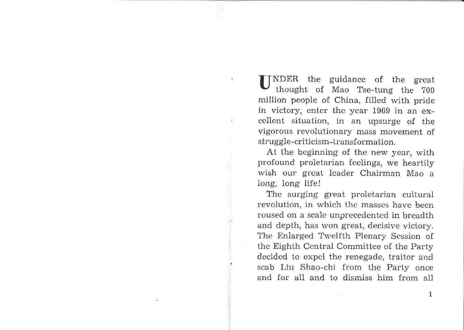f INDER the guidance of the great thought of Mao Tse-tung the 700 million people of China, filled with pride in victory, enter the year 1969 in an excellent situation, in an upsurge of the vigorous revolutionary mass movement of struggle-criticism-transformation.

At the beginning of the new year, with profound proletarian feelings, we heartily wish our great leader Chairman Mao <sup>a</sup> Iong, iong lifel

The surging great proletarian cultural revolution, in which the masses have been roused on a scale unprecedented in breadth and depth, has won great, decisive victory. The Enlarged Twelfth Plenary Session of the Eighth Central Committee of the Party decided to expel the renegade, traitor and scab Liu Shao-chi from the Party once and for all and to dismiss him from all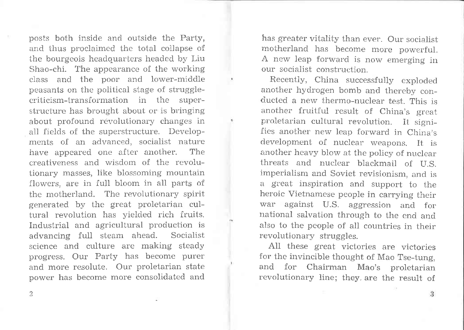posts both inside and outside the Party, and thus proclaimed the total collapse of the bourgeois headquarters headed by Liu Shao-chi. The appearance of the working class and the poor and lower-middle peasants on the politicai stage of strugglecriticism-transformation in the superstructure has brought about or is bringing about profound revolutionary changes in all fields of the superstructure. Developments of an advanced, socialist nature have appeared one after another. The creativeness and wisdom of the revolutionary masses, like blossoming mountain flowers, are in full bloom in all parts of the motherland. The revolutionary spirit generated by the great proletarian cultural revolution has yielded rich fruits. Industrial and agricultural production is advancing full steam ahead. Socialist science and culture are making steady progress. Our Party has become purer and more resolute. Our proletarian state power has become more consolidated and has greater vitality than ever. Our socialist motherland has become more powerful. A new leap forward is now emerging in our socialist construction.

Recently, China successfully exploded another hydrogen bomb and thereby conducted a new thermo-nuclear test. This is another fruitful result of China's great proletarian cultural revolution. It signifies another new leap forward in China's development of nuclear weapons. It is another heavy blow at the policy of nuclear threats and nuclear blackmail of U.S. imperialism and Soviet revisionism, and is a great inspiration and support to the heroic Vietnamese people in carrying their war against U.S. aggression and for national salvation through to the end and also to the people of all countries in their revolutionary struggles.

AII these great victories are victories for the invincible thought of Mao Tse-tung, and for Chairman Mao's proletarian revolutionary line; they. are the result of

2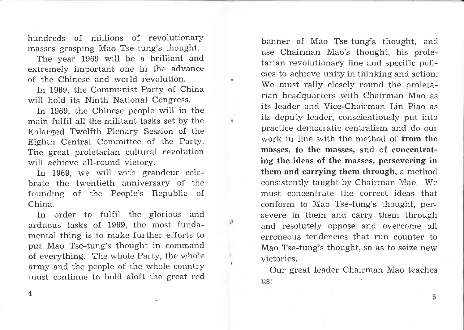hundreds of millions of revolutionary masses grasping Mao Tse-tung's thought.

The year 1969 will be a brilliant and extremely important one in the advance of the Chinese and world revolution.

In 1969, the Communist Party of China will hold its Ninth National Congress.

In 1969, the Chinese people will in the main fulfil all the militant tasks set by the Enlarged Twelfth Plenary Session of the Eighth Central Committee of the Party. The great proletarian cultural revolution will achieve all-round victory.

¥

υ

In 1969, we will with grandeur celebrate the twentieth anniversary of the founding of the People's Republic of China.

In order to fulfil the glorious and arduous tasks of 1969, the most fundamental thing is to make further efforts to put Mao Tse-tung's thought in command of everything. The whole Party, the whole army and the people of the whole country must continue to hold aloft the great red

banner of Mao Tse-tung's thought, and use Chairman Mao's thought, his proletarian revolutionary line and specific policies to achieve unity in thinking and action. We must rally closely round the proletarian headquarters with Chairman Mao as its leader and Vice-Chairman Lin Piao as its deputy leader, conscientiously put into practice democratic centralism and do our work in line with the method of from the masses, to the masses, and of concentrating the ideas of the masses, persevering in them and carrying them through, a method consistently taught by Chairman Mao. We must concentrate the correct ideas that conform to Mao Tse-tung's thought, persevere in them and carry them through and resolutely oppose and overcome all erroneous tendencies that run counter to Mao Tse-tung's thought, so as to seize new victories.

Our great leader Chairman Mao teaches us:

4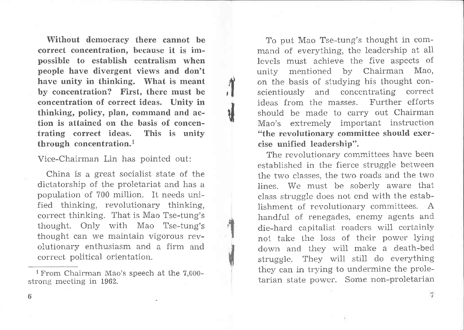Without democracy there cannot be correct concentration, because it is impossible to establish centralism when people have divergent views and don't have unity in thinking. What is meant by concentration? First, there must be concentration of correct ideas. Unity in thinking, policy, plan, command and action is attained on the basis of concentrating correct ideas. This is unity through concentration.<sup>1</sup>

 $\frac{1}{2}$ 

\*l

t<br>1

**\** 

Vice-Chairman Lin has pointed out:

China is a great socialist state of the dictatorship of the proletariat and has <sup>a</sup> population of 700 million. It needs unified thinking, revolutionary thinking, correct thinking. That is Mao Tse-tung's thought. Only with Mao Tse-tung's thought can we maintain vigorous revolutionary enthusiasm and a firm and correct political orientation.

l From Chairman Mao's speech at the 7,000 strong meeting in 1962.

To put Mao Tse-tung's thought in command of everything, the leadership at all levels must achieve the five aspects of unity mentioned by Chairman Mao, on the basis of studying his thought conscientiously and concentrating correct ideas from the masses. Further efforts should be made to carry out Chairman Mao's extremely important instruction "the revolutionary comrnittee should exercise unified leadership".

The revolutionary committees have been established in the fierce struggle between the two classes, the two roads and the two lines. We must be soberly aware that class struggle does not end with the establishment of revolutionary committees. A handful of renegades, enemy agents and die-hard capitalist roaders will certainly not take the loss of their power lying down and they wiil make a death-bed struggle. They will still do everything they can in trying to undermine the proletarian state power. Some non-proletarian

6

 $\tau$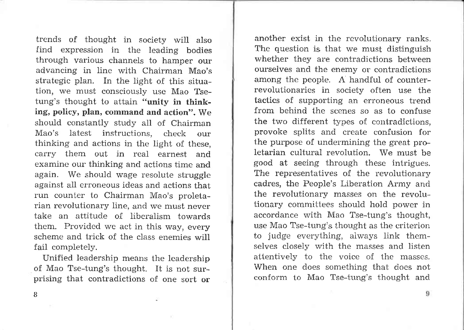trends of thought in society will also find expression in the leading bodies through various channels to hamper our advancing in line with Chairman Mao's strategic plan. In the light of this situation, we must consciously use Mao Tsetung's thought to attain "unity in thinking, policy, plan, command and action", We should constantly study all of Chairman Mao's latest instructions, check our thinking and actions in the light of these, carry them out in real earnest and examine our thinking and actions time and again. We should wage resolute struggle against all erroneous ideas and actions that run counter to Chairman Mao's proletarian revolutionary line, and we must never take an attitude of liberalism towards them. Provided we act in this way, every scheme and trick of the class enemies will fail completely.

Unified leadership means the leadership of Mao Tse-tung's thought. It is not surprising that contradictions of one sort or another exist in the revolutionary ranks. The question is that we must distinguish whether they are contradictions between ourselves and the enemy or contradictions among the people. A handful of counterrevolutionaries in society often use the tactics of supporting an erroneous trend from behind the scenes so as to confuse the two different types of contradictions, provoke splits and create confusion for the purpose of undermining the great proletarian cultural revolution. We must be good at seeing through these intrigues. The representatives of the revolutionary cadres, the People's Liberation Army and the revolutionary masses on the revolutionary committees should hold power in accordance with Mao Tse-tung's thought, use Mao Tse-tung's thought as the criterion to judge everything, always link themselves closely with the masses and listen attentively to the voice of the masses. When one does something that does not conform to Mao Tse-tung's thought and

8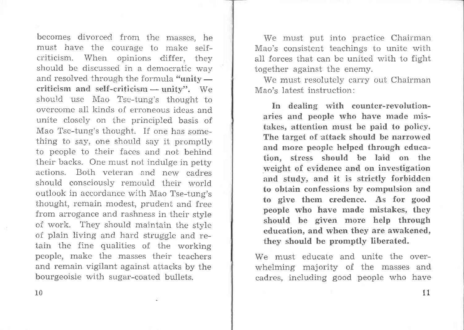becomes divorced from the masses, he must have the courage to make selfcriticism. When opinions differ, they should be discussed in a democratic way and resolved through the formula "unity  $arithmeticism$  and  $self-criticism$  — unity". We enders and sen-criticism — unity : we<br>should use Mao Tse-tung's thought to overcome all kinds of erroneous ideas and unite closely on the principled basis of Mao Tse-tung's thought. If one has something to say, one should say it promptly to people to their faces and not behind their backs. One must not indulge in petty actions. Both veteran and new cadres should consciously remould their world outlook in accordance with Mao Tse-tung's thought, remain modest, prudent and free from arrogance and rashness in their style of work. They should maintain the style of plain living and hard struggle and retain the fine qualities of the working people, make the masses their teachers and remain vigilant against attacks by the bourgeoisie with sugar-coated bullets.

We must put into practice Chairman Mao's consistent teachings to unite with all forces that can be united with to fight together against the enemy.

We must resolutely carry out Chairman Mao's latest instruction:

In dealing with counter-revolutionaries and people who have made mistakes, attention must be paid to policy. The target of attack should be narrowed and more people helped through education, stress should be laid on the weight of evidence and on investigation and study, and it is strictly forbidden to obtain confessions by compulsion and to give them credence. As for good people who have made mistakes, they should be given more help through education, and when they are awakened, they should be promptly liberated.

We must educate and unite the overwhelming majority of the masses and cadres, including good people who have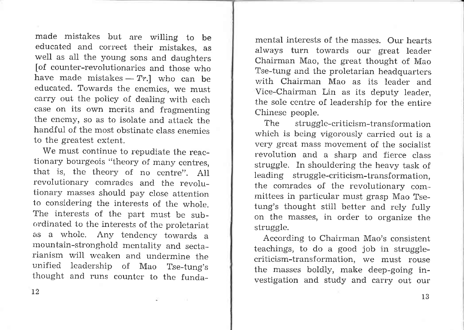made mistakes but are witling to be educated and correct their mistakes, as well as all the young sons and daughters [of counter-revolutionaries and those who have made mistakes —  $Tr.]$  who can be have made inistance – 17. who can be<br>educated. Towards the enemies, we must carry out the policy of dealing with each case on its own merits and fragmenting the enemy, so as to isolate and attack the handful of the most obstinate class enemies to the greatest extent.

We must continue to repudiate the reactionary bourgeois "theory of many centres, that is, the theory of no centre". All revolutionary comrades and the revolutionary masses should pay close attention to considering the interests of the whole. The interests of the part must be subordinated to the interests of the proletariat as a whole. Any tendency towards <sup>a</sup> mountain-stronghold mentality and sectarianism will weaken and undermine the unified leadership of Mao Tse-tung's thought and runs counter to the funda-

mental interests of the masses. Our hearts always turn towards our great leader Chairman Mao, the great thought of Mao Tse-tung and the proletarian headquarters with Chairman Mao as its leader and Vice-Chairman Lin as its deputy leader, the sole centre of leadership for the entire Chinese people.

The struggle-criticism-transformation which is being vigorously carried out is a very great mass movement of the socialist revolution and a sharp and fierce class struggle. In shouldering the heavy task of leading struggle-criticism-transformation, the comrades of the revolutionary committees in particular must grasp Mao Tsetung's thought still better and rely fully on the masses, in order to organize the struggle.

According to Chairman Mao's consistent teachings, to do a good job in strugglecriticism-transformation, we must rouse the masses boldly, make deep-going investigation and study and carry out our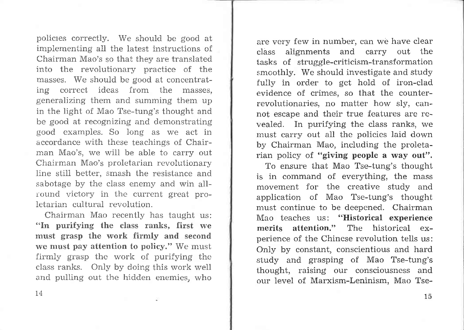policles correctly. We should be good at implementing all the latest instructions of Chairman Mao's so that they are translated into the revolutionary practice of the masses. We should be good at concentrating correct ideas from the masses, generalizing them and summing them up in the light of Mao Tse-tung's thought and be good at recognizing and demonstrating good examples. So long as we act in accordance with these teachings of Chairman Mao's, we will be able to carry out Chairman Mao's proletarian revolutionary line still better, smash the resistance and sabotage by the class enemy and win allround victory in the current great proletarian cultural revolution.

Chairman Mao recently has taught us: "In purifying the class ranks, first we must grasp the work firmly and second we must pay attention to policy." We must firmly grasp the work of purifying the class ranks. Only by doing this work well and pulling out the hidden enemies, who

are very few in number, can we have clear class alignments and carry out the tasks of struggle-criticism-transformation smoothly. We should investigate and study fully in order to get hold of iron-clad evidence of crimes, so that the counterrevolutionaries, no matter how sly, cannot escape and their true features are revealed. In purifying the class ranks, we must carry out all the policies laid down by Chairman Mao, including the proletarian policy of "giving people a way out".

To ensure that Mao Tse-tung's thought is in command of everything, the mass movement for the creative study and application of Mao Tse-tung's thought must continue to be deepened. Chairman Mao teaches us: "Historical experience merits attention." The historical experience of the Chinese revolution tells us: Only by constant, conscientious and hard study and grasping of Mao Tse-tung's thought, raising our consciousness and our level of Marxism-Leninism, Mao Tse-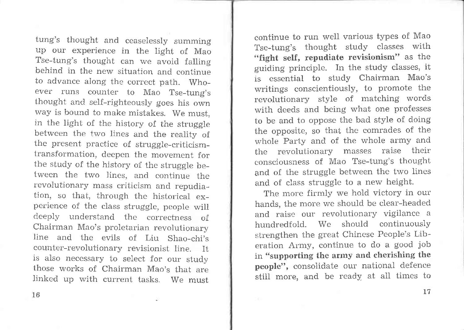tung's thought and ceaselessly summing up our experience in the light of Mao Tse-tung's thought can we avoid falling behind in the new situation and continue to advance along the correct path. Whoever runs counter to Mao Tse-tung's thought and self-righteously goes his own way is bound to make mistakes. We must, in the light of the history of the struggle between the two lines and the reality of the present practice of struggle-criticismtransformation, deepen the movement for the study of the history of the struggle between the two lines, and continue the revolutionary mass criticism and repudiation, so that, through the historical experience of the class struggle, people will deeply understand the correctness of Chairman Mao's proletarian revolutionary line and the evils of Liu Shao-chi's counter-revolutionary revisionist line. It is also necessary to select for our study those works of Chairman Mao's that are linked up with current tasks. We must

continue to run well various types of Mao Tse-tung's thought study classes with "fight self, repudiate revisionism" as the guiding principle. In the study classes, it is essential to study Chairman Mao's writings conscientiously, to promote the revolutionary style of matching words with deeds and being what one professes to be and to oppose the bad style of doing the opposite, so that the comrades of the whole Party and of the whole army and the revolutionary masses raise their consciousness of Mao Tse-tung's thought and of the struggle between the two lines and of class struggle to a new height.

The more firmly we hold victory in our hands, the more we should be clear-headed and raise our revolutionary vigilance <sup>a</sup> hundredfold. We should continuously strengthen the great Chinese People's Liberation Army, continue to do a good job in "supporting the army and cherishing the people", consolidate our national defence stil1 more, and be ready at aII times to

t6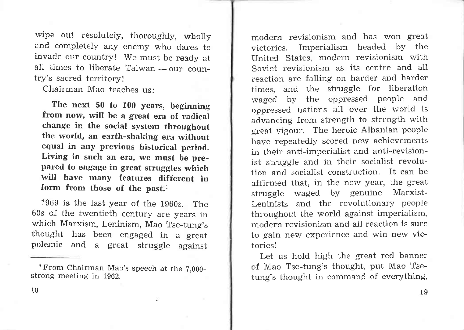wipe out resolutely, thoroughly, wholly and completely any enemy who dares to invade our country! We must be ready at all times to liberate Taiwan — our coun-<br>trv's sacred territory! try's sacred territory!

Chairman Mao teaches us:

The next 50 to 100 years, beginning from now, will he a great era of radical change in the social system throughout the world, an earth-shaking era without equal in any previous historical period. Living in such an era, we must be prepared to engage in great struggles which will have many features different in form from those of the past.<sup>1</sup>

1969 is the last year of the 1960s. The 60s of the twentieth century are years in which Marxism, Leninism, Mao Tse-tung's thought has been engaged in a great polemic and a great struggle against

modern revisionism and has won great victories. Imperialism headed by the United States, modern revisionism with Soviet revisionism as its centre and all reaction are falling on harder and harder times, and the struggle for liberation waged by the oppressed people and oppressed nations all over the world is advancing from strength to strength with great vigour. The heroic Albanian people have repeatedly scored new achievements in their anti-imperialist and anti-revisionist struggle and in their socialist revolution and socialist construction. It can be affirmed that, in the new year, the great struggle waged by genuine Marxist-Leninists and the revolutionary people throughout the world against imperialism, modern revisionism and all reaction is sure to gain new experience and win new victories !

Let us hold high the great red banner of Mao Tse-tung's thought, put Mao Tsetung's thought in command of everything,

<sup>&</sup>lt;sup>1</sup> From Chairman Mao's speech at the  $7,000$ strong meeting in 1962.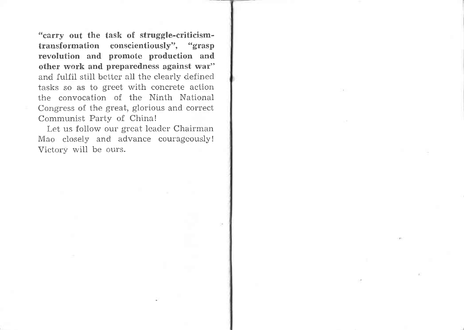"carry out the task of struggle-criticismtransformation conscientiously", "grasp revolution and promote production and other work and preparedness against wat" and fulfil still better all the clearly defined tasks so as to greet with concrete action the convocation of the Ninth National Congress of the great, glorious and correct Communist Party of China!

Let us follow our great leader Chairman Mao closely and advance courageously! Victory will be ours.